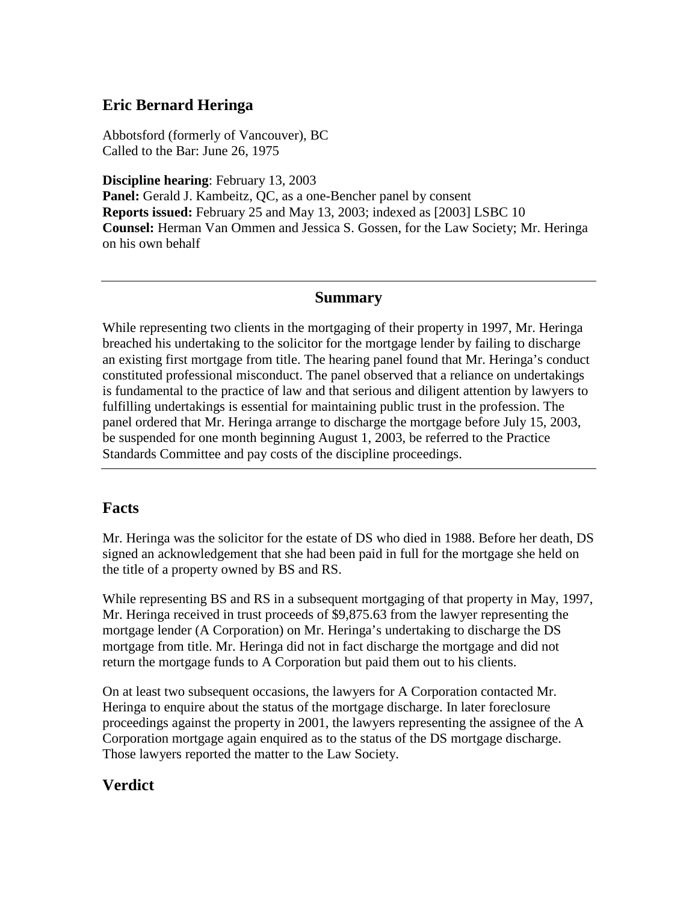## **Eric Bernard Heringa**

Abbotsford (formerly of Vancouver), BC Called to the Bar: June 26, 1975

**Discipline hearing**: February 13, 2003

**Panel:** Gerald J. Kambeitz, QC, as a one-Bencher panel by consent **Reports issued:** February 25 and May 13, 2003; indexed as [2003] LSBC 10 **Counsel:** Herman Van Ommen and Jessica S. Gossen, for the Law Society; Mr. Heringa on his own behalf

#### **Summary**

While representing two clients in the mortgaging of their property in 1997, Mr. Heringa breached his undertaking to the solicitor for the mortgage lender by failing to discharge an existing first mortgage from title. The hearing panel found that Mr. Heringa's conduct constituted professional misconduct. The panel observed that a reliance on undertakings is fundamental to the practice of law and that serious and diligent attention by lawyers to fulfilling undertakings is essential for maintaining public trust in the profession. The panel ordered that Mr. Heringa arrange to discharge the mortgage before July 15, 2003, be suspended for one month beginning August 1, 2003, be referred to the Practice Standards Committee and pay costs of the discipline proceedings.

### **Facts**

Mr. Heringa was the solicitor for the estate of DS who died in 1988. Before her death, DS signed an acknowledgement that she had been paid in full for the mortgage she held on the title of a property owned by BS and RS.

While representing BS and RS in a subsequent mortgaging of that property in May, 1997, Mr. Heringa received in trust proceeds of \$9,875.63 from the lawyer representing the mortgage lender (A Corporation) on Mr. Heringa's undertaking to discharge the DS mortgage from title. Mr. Heringa did not in fact discharge the mortgage and did not return the mortgage funds to A Corporation but paid them out to his clients.

On at least two subsequent occasions, the lawyers for A Corporation contacted Mr. Heringa to enquire about the status of the mortgage discharge. In later foreclosure proceedings against the property in 2001, the lawyers representing the assignee of the A Corporation mortgage again enquired as to the status of the DS mortgage discharge. Those lawyers reported the matter to the Law Society.

## **Verdict**